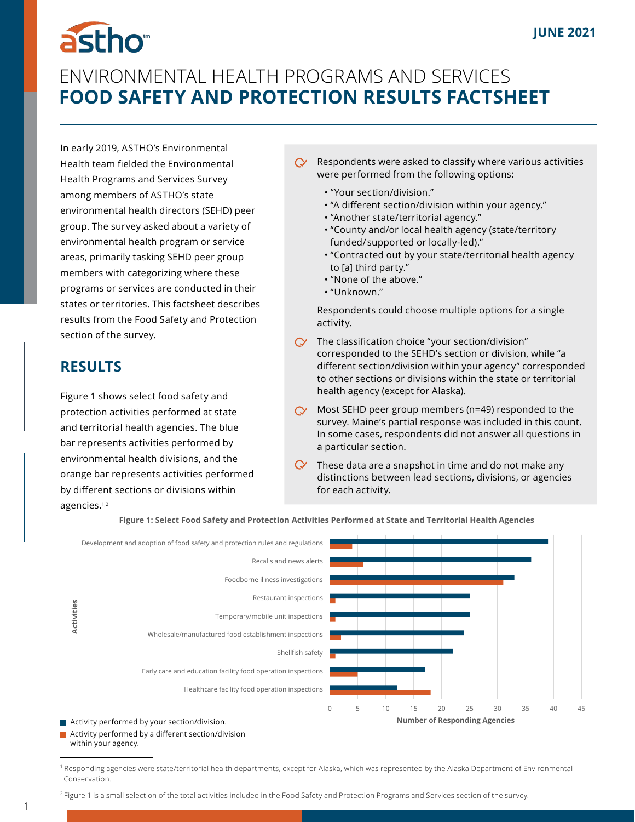# astho<sup>®</sup>

# ENVIRONMENTAL HEALTH PROGRAMS AND SERVICES **FOOD SAFETY AND PROTECTION RESULTS FACTSHEET**

In early 2019, ASTHO's Environmental Health team fielded the Environmental Health Programs and Services Survey among members of ASTHO's state environmental health directors (SEHD) peer group. The survey asked about a variety of environmental health program or service areas, primarily tasking SEHD peer group members with categorizing where these programs or services are conducted in their states or territories. This factsheet describes results from the Food Safety and Protection section of the survey.

## **RESULTS**

Figure 1 shows select food safety and protection activities performed at state and territorial health agencies. The blue bar represents activities performed by environmental health divisions, and the orange bar represents activities performed by different sections or divisions within agencies.1,2

- Respondents were asked to classify where various activities were performed from the following options:
	- "Your section/division."
	- "A different section/division within your agency."
	- "Another state/territorial agency."
	- "County and/or local health agency (state/territory  funded/ supported or locally-led)."
	- "Contracted out by your state/territorial health agency  to [a] third party."
	- "None of the above."
	- "Unknown."

Respondents could choose multiple options for a single activity.

- $\alpha$  The classification choice "your section/division" corresponded to the SEHD's section or division, while "a different section/division within your agency" corresponded to other sections or divisions within the state or territorial health agency (except for Alaska).
- $\gamma$  Most SEHD peer group members (n=49) responded to the survey. Maine's partial response was included in this count. In some cases, respondents did not answer all questions in a particular section.
- $\mathbb O$  These data are a snapshot in time and do not make any distinctions between lead sections, divisions, or agencies for each activity.



**Figure 1: Select Food Safety and Protection Activities Performed at State and Territorial Health Agencies**

**Activity performed by a different section/division** within your agency.

<sup>&</sup>lt;sup>1</sup> Responding agencies were state/territorial health departments, except for Alaska, which was represented by the Alaska Department of Environmental Conservation.

<sup>&</sup>lt;sup>2</sup> Figure 1 is a small selection of the total activities included in the Food Safety and Protection Programs and Services section of the survey.